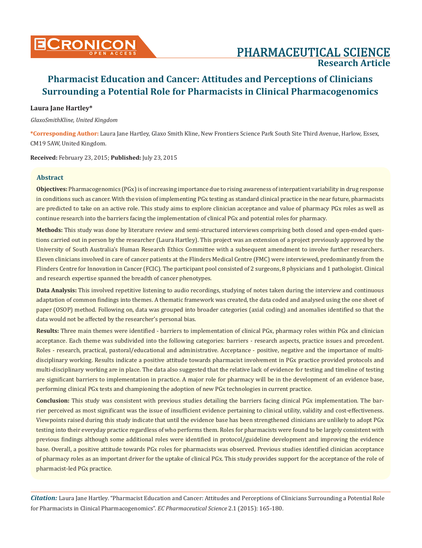### **Laura Jane Hartley\***

*GlaxoSmithKline, United Kingdom*

**\*Corresponding Author:** Laura Jane Hartley, Glaxo Smith Kline, New Frontiers Science Park South Site Third Avenue, Harlow, Essex, CM19 5AW, United Kingdom.

**Received:** February 23, 2015; **Published:** July 23, 2015

### **Abstract**

**Objectives:** Pharmacogenomics (PGx) is of increasing importance due to rising awareness of interpatient variability in drug response in conditions such as cancer. With the vision of implementing PGx testing as standard clinical practice in the near future, pharmacists are predicted to take on an active role. This study aims to explore clinician acceptance and value of pharmacy PGx roles as well as continue research into the barriers facing the implementation of clinical PGx and potential roles for pharmacy.

**Methods:** This study was done by literature review and semi-structured interviews comprising both closed and open-ended questions carried out in person by the researcher (Laura Hartley). This project was an extension of a project previously approved by the University of South Australia's Human Research Ethics Committee with a subsequent amendment to involve further researchers. Eleven clinicians involved in care of cancer patients at the Flinders Medical Centre (FMC) were interviewed, predominantly from the Flinders Centre for Innovation in Cancer (FCIC). The participant pool consisted of 2 surgeons, 8 physicians and 1 pathologist. Clinical and research expertise spanned the breadth of cancer phenotypes.

**Data Analysis:** This involved repetitive listening to audio recordings, studying of notes taken during the interview and continuous adaptation of common findings into themes. A thematic framework was created, the data coded and analysed using the one sheet of paper (OSOP) method. Following on, data was grouped into broader categories (axial coding) and anomalies identified so that the data would not be affected by the researcher's personal bias.

**Results:** Three main themes were identified - barriers to implementation of clinical PGx, pharmacy roles within PGx and clinician acceptance. Each theme was subdivided into the following categories: barriers - research aspects, practice issues and precedent. Roles - research, practical, pastoral/educational and administrative. Acceptance - positive, negative and the importance of multidisciplinary working. Results indicate a positive attitude towards pharmacist involvement in PGx practice provided protocols and multi-disciplinary working are in place. The data also suggested that the relative lack of evidence for testing and timeline of testing are significant barriers to implementation in practice. A major role for pharmacy will be in the development of an evidence base, performing clinical PGx tests and championing the adoption of new PGx technologies in current practice.

**Conclusion:** This study was consistent with previous studies detailing the barriers facing clinical PGx implementation. The barrier perceived as most significant was the issue of insufficient evidence pertaining to clinical utility, validity and cost-effectiveness. Viewpoints raised during this study indicate that until the evidence base has been strengthened clinicians are unlikely to adopt PGx testing into their everyday practice regardless of who performs them. Roles for pharmacists were found to be largely consistent with previous findings although some additional roles were identified in protocol/guideline development and improving the evidence base. Overall, a positive attitude towards PGx roles for pharmacists was observed. Previous studies identified clinician acceptance of pharmacy roles as an important driver for the uptake of clinical PGx. This study provides support for the acceptance of the role of pharmacist-led PGx practice.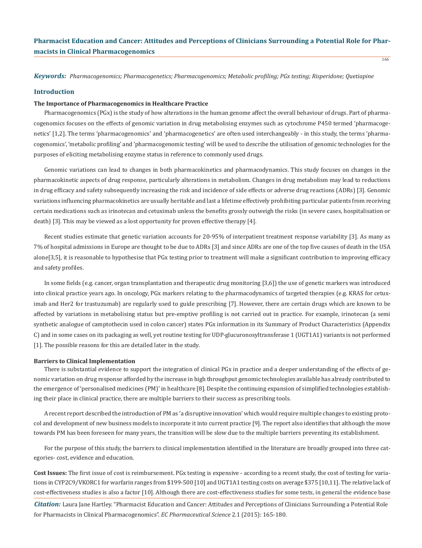*Keywords: Pharmacogenomics; Pharmacogenetics; Pharmacogenomics; Metabolic profiling; PGx testing; Risperidone; Quetiapine*

#### **Introduction**

#### **The Importance of Pharmacogenomics in Healthcare Practice**

Pharmacogenomics (PGx) is the study of how alterations in the human genome affect the overall behaviour of drugs. Part of pharmacogenomics focuses on the effects of genomic variation in drug metabolising enzymes such as cytochrome P450 termed 'pharmacogenetics' [1,2]. The terms 'pharmacogenomics' and 'pharmacogenetics' are often used interchangeably - in this study, the terms 'pharmacogenomics', 'metabolic profiling' and 'pharmacogenomic testing' will be used to describe the utilisation of genomic technologies for the purposes of eliciting metabolising enzyme status in reference to commonly used drugs.

Genomic variations can lead to changes in both pharmacokinetics and pharmacodynamics. This study focuses on changes in the pharmacokinetic aspects of drug response, particularly alterations in metabolism. Changes in drug metabolism may lead to reductions in drug efficacy and safety subsequently increasing the risk and incidence of side effects or adverse drug reactions (ADRs) [3]. Genomic variations influencing pharmacokinetics are usually heritable and last a lifetime effectively prohibiting particular patients from receiving certain medications such as irinotecan and cetuximab unless the benefits grossly outweigh the risks (in severe cases, hospitalisation or death) [3]. This may be viewed as a lost opportunity for proven effective therapy [4].

Recent studies estimate that genetic variation accounts for 20-95% of interpatient treatment response variability [3]. As many as 7% of hospital admissions in Europe are thought to be due to ADRs [3] and since ADRs are one of the top five causes of death in the USA alone[3,5], it is reasonable to hypothesise that PGx testing prior to treatment will make a significant contribution to improving efficacy and safety profiles.

In some fields (e.g. cancer, organ transplantation and therapeutic drug monitoring [3,6]) the use of genetic markers was introduced into clinical practice years ago. In oncology, PGx markers relating to the pharmacodynamics of targeted therapies (e.g. KRAS for cetuximab and Her2 for trastuzumab) are regularly used to guide prescribing [7]. However, there are certain drugs which are known to be affected by variations in metabolising status but pre-emptive profiling is not carried out in practice. For example, irinotecan (a semi synthetic analogue of camptothecin used in colon cancer) states PGx information in its Summary of Product Characteristics (Appendix C) and in some cases on its packaging as well, yet routine testing for UDP-glucuronosyltransferase 1 (UGT1A1) variants is not performed [1]. The possible reasons for this are detailed later in the study.

#### **Barriers to Clinical Implementation**

There is substantial evidence to support the integration of clinical PGx in practice and a deeper understanding of the effects of genomic variation on drug response afforded by the increase in high throughput genomic technologies available has already contributed to the emergence of 'personalised medicines (PM)' in healthcare [8]. Despite the continuing expansion of simplified technologies establishing their place in clinical practice, there are multiple barriers to their success as prescribing tools.

A recent report described the introduction of PM as 'a disruptive innovation' which would require multiple changes to existing protocol and development of new business models to incorporate it into current practice [9]. The report also identifies that although the move towards PM has been foreseen for many years, the transition will be slow due to the multiple barriers preventing its establishment.

For the purpose of this study, the barriers to clinical implementation identified in the literature are broadly grouped into three categories- cost, evidence and education.

**Cost Issues:** The first issue of cost is reimbursement. PGx testing is expensive - according to a recent study, the cost of testing for variations in CYP2C9/VKORC1 for warfarin ranges from \$199-500 [10] and UGT1A1 testing costs on average \$375 [10,11]. The relative lack of cost-effectiveness studies is also a factor [10]. Although there are cost-effectiveness studies for some tests, in general the evidence base

*Citation:* Laura Jane Hartley. "Pharmacist Education and Cancer: Attitudes and Perceptions of Clinicians Surrounding a Potential Role for Pharmacists in Clinical Pharmacogenomics". *EC Pharmaceutical Science* 2.1 (2015): 165-180.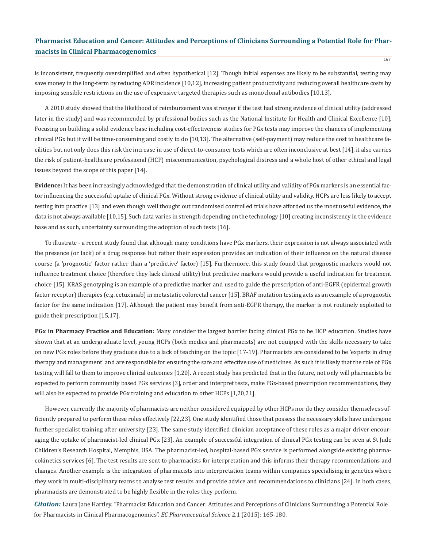is inconsistent, frequently oversimplified and often hypothetical [12]. Though initial expenses are likely to be substantial, testing may save money in the long-term by reducing ADR incidence [10,12], increasing patient productivity and reducing overall healthcare costs by imposing sensible restrictions on the use of expensive targeted therapies such as monoclonal antibodies [10,13].

A 2010 study showed that the likelihood of reimbursement was stronger if the test had strong evidence of clinical utility (addressed later in the study) and was recommended by professional bodies such as the National Institute for Health and Clinical Excellence [10]. Focusing on building a solid evidence base including cost-effectiveness studies for PGx tests may improve the chances of implementing clinical PGx but it will be time-consuming and costly to do [10,13]. The alternative (self-payment) may reduce the cost to healthcare facilities but not only does this risk the increase in use of direct-to-consumer tests which are often inconclusive at best [14], it also carries the risk of patient-healthcare professional (HCP) miscommunication, psychological distress and a whole host of other ethical and legal issues beyond the scope of this paper [14].

**Evidence:** It has been increasingly acknowledged that the demonstration of clinical utility and validity of PGx markers is an essential factor influencing the successful uptake of clinical PGx. Without strong evidence of clinical utility and validity, HCPs are less likely to accept testing into practice [13] and even though well thought out randomised controlled trials have afforded us the most useful evidence, the data is not always available [10,15]. Such data varies in strength depending on the technology [10] creating inconsistency in the evidence base and as such, uncertainty surrounding the adoption of such tests [16].

To illustrate - a recent study found that although many conditions have PGx markers, their expression is not always associated with the presence (or lack) of a drug response but rather their expression provides an indication of their influence on the natural disease course (a 'prognostic' factor rather than a 'predictive' factor) [15]. Furthermore, this study found that prognostic markers would not influence treatment choice (therefore they lack clinical utility) but predictive markers would provide a useful indication for treatment choice [15]. KRAS genotyping is an example of a predictive marker and used to guide the prescription of anti-EGFR (epidermal growth factor receptor) therapies (e.g. cetuximab) in metastatic colorectal cancer [15]. BRAF mutation testing acts as an example of a prognostic factor for the same indication [17]. Although the patient may benefit from anti-EGFR therapy, the marker is not routinely exploited to guide their prescription [15,17].

**PGx in Pharmacy Practice and Education:** Many consider the largest barrier facing clinical PGx to be HCP education. Studies have shown that at an undergraduate level, young HCPs (both medics and pharmacists) are not equipped with the skills necessary to take on new PGx roles before they graduate due to a lack of teaching on the topic [17-19]. Pharmacists are considered to be 'experts in drug therapy and management' and are responsible for ensuring the safe and effective use of medicines. As such it is likely that the role of PGx testing will fall to them to improve clinical outcomes [1,20]. A recent study has predicted that in the future, not only will pharmacists be expected to perform community based PGx services [3], order and interpret tests, make PGx-based prescription recommendations, they will also be expected to provide PGx training and education to other HCPs [1,20,21].

However, currently the majority of pharmacists are neither considered equipped by other HCPs nor do they consider themselves sufficiently prepared to perform these roles effectively [22,23]. One study identified those that possess the necessary skills have undergone further specialist training after university [23]. The same study identified clinician acceptance of these roles as a major driver encouraging the uptake of pharmacist-led clinical PGx [23]. An example of successful integration of clinical PGx testing can be seen at St Jude Children's Research Hospital, Memphis, USA. The pharmacist-led, hospital-based PGx service is performed alongside existing pharmacokinetics services [6]. The test results are sent to pharmacists for interpretation and this informs their therapy recommendations and changes. Another example is the integration of pharmacists into interpretation teams within companies specialising in genetics where they work in multi-disciplinary teams to analyse test results and provide advice and recommendations to clinicians [24]. In both cases, pharmacists are demonstrated to be highly flexible in the roles they perform.

*Citation:* Laura Jane Hartley. "Pharmacist Education and Cancer: Attitudes and Perceptions of Clinicians Surrounding a Potential Role for Pharmacists in Clinical Pharmacogenomics". *EC Pharmaceutical Science* 2.1 (2015): 165-180.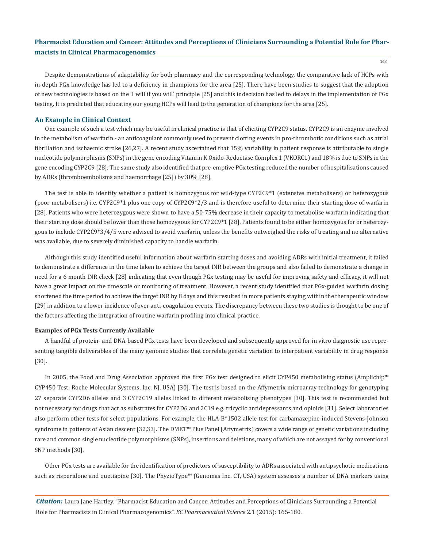Despite demonstrations of adaptability for both pharmacy and the corresponding technology, the comparative lack of HCPs with in-depth PGx knowledge has led to a deficiency in champions for the area [25]. There have been studies to suggest that the adoption of new technologies is based on the 'I will if you will' principle [25] and this indecision has led to delays in the implementation of PGx testing. It is predicted that educating our young HCPs will lead to the generation of champions for the area [25].

#### **An Example in Clinical Context**

One example of such a test which may be useful in clinical practice is that of eliciting CYP2C9 status. CYP2C9 is an enzyme involved in the metabolism of warfarin - an anticoagulant commonly used to prevent clotting events in pro-thrombotic conditions such as atrial fibrillation and ischaemic stroke [26,27]. A recent study ascertained that 15% variability in patient response is attributable to single nucleotide polymorphisms (SNPs) in the gene encoding Vitamin K Oxido-Reductase Complex 1 (VKORC1) and 18% is due to SNPs in the gene encoding CYP2C9 [28]. The same study also identified that pre-emptive PGx testing reduced the number of hospitalisations caused by ADRs (thromboembolisms and haemorrhage [25]) by 30% [28].

The test is able to identify whether a patient is homozygous for wild-type CYP2C9\*1 (extensive metabolisers) or heterozygous (poor metabolisers) i.e. CYP2C9\*1 plus one copy of CYP2C9\*2/3 and is therefore useful to determine their starting dose of warfarin [28]. Patients who were heterozygous were shown to have a 50-75% decrease in their capacity to metabolise warfarin indicating that their starting dose should be lower than those homozygous for CYP2C9\*1 [28]. Patients found to be either homozygous for or heterozygous to include CYP2C9\*3/4/5 were advised to avoid warfarin, unless the benefits outweighed the risks of treating and no alternative was available, due to severely diminished capacity to handle warfarin.

Although this study identified useful information about warfarin starting doses and avoiding ADRs with initial treatment, it failed to demonstrate a difference in the time taken to achieve the target INR between the groups and also failed to demonstrate a change in need for a 6 month INR check [28] indicating that even though PGx testing may be useful for improving safety and efficacy, it will not have a great impact on the timescale or monitoring of treatment. However, a recent study identified that PGx-guided warfarin dosing shortened the time period to achieve the target INR by 8 days and this resulted in more patients staying within the therapeutic window [29] in addition to a lower incidence of over anti-coagulation events. The discrepancy between these two studies is thought to be one of the factors affecting the integration of routine warfarin profiling into clinical practice.

#### **Examples of PGx Tests Currently Available**

A handful of protein- and DNA-based PGx tests have been developed and subsequently approved for in vitro diagnostic use representing tangible deliverables of the many genomic studies that correlate genetic variation to interpatient variability in drug response [30].

In 2005, the Food and Drug Association approved the first PGx test designed to elicit CYP450 metabolising status (Amplichip™ CYP450 Test; Roche Molecular Systems, Inc. NJ, USA) [30]. The test is based on the Affymetrix microarray technology for genotyping 27 separate CYP2D6 alleles and 3 CYP2C19 alleles linked to different metabolising phenotypes [30]. This test is recommended but not necessary for drugs that act as substrates for CYP2D6 and 2C19 e.g. tricyclic antidepressants and opioids [31]. Select laboratories also perform other tests for select populations. For example, the HLA-B\*1502 allele test for carbamazepine-induced Stevens-Johnson syndrome in patients of Asian descent [32,33]. The DMET™ Plus Panel (Affymetrix) covers a wide range of genetic variations including rare and common single nucleotide polymorphisms (SNPs), insertions and deletions, many of which are not assayed for by conventional SNP methods [30].

Other PGx tests are available for the identification of predictors of susceptibility to ADRs associated with antipsychotic medications such as risperidone and quetiapine [30]. The PhyzioType™ (Genomas Inc. CT, USA) system assesses a number of DNA markers using

*Citation:* Laura Jane Hartley. "Pharmacist Education and Cancer: Attitudes and Perceptions of Clinicians Surrounding a Potential Role for Pharmacists in Clinical Pharmacogenomics". *EC Pharmaceutical Science* 2.1 (2015): 165-180.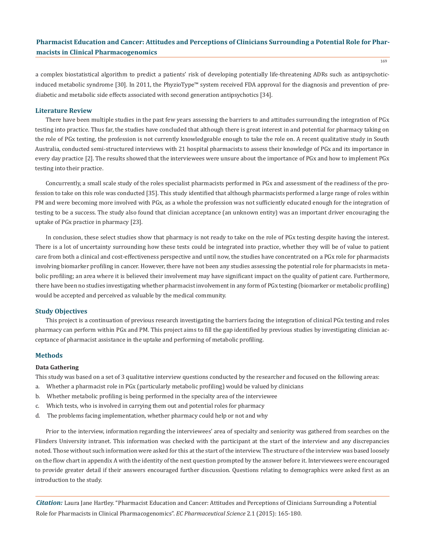a complex biostatistical algorithm to predict a patients' risk of developing potentially life-threatening ADRs such as antipsychoticinduced metabolic syndrome [30]. In 2011, the PhyzioType™ system received FDA approval for the diagnosis and prevention of prediabetic and metabolic side effects associated with second generation antipsychotics [34].

#### **Literature Review**

There have been multiple studies in the past few years assessing the barriers to and attitudes surrounding the integration of PGx testing into practice. Thus far, the studies have concluded that although there is great interest in and potential for pharmacy taking on the role of PGx testing, the profession is not currently knowledgeable enough to take the role on. A recent qualitative study in South Australia, conducted semi-structured interviews with 21 hospital pharmacists to assess their knowledge of PGx and its importance in every day practice [2]. The results showed that the interviewees were unsure about the importance of PGx and how to implement PGx testing into their practice.

Concurrently, a small scale study of the roles specialist pharmacists performed in PGx and assessment of the readiness of the profession to take on this role was conducted [35]. This study identified that although pharmacists performed a large range of roles within PM and were becoming more involved with PGx, as a whole the profession was not sufficiently educated enough for the integration of testing to be a success. The study also found that clinician acceptance (an unknown entity) was an important driver encouraging the uptake of PGx practice in pharmacy [23].

In conclusion, these select studies show that pharmacy is not ready to take on the role of PGx testing despite having the interest. There is a lot of uncertainty surrounding how these tests could be integrated into practice, whether they will be of value to patient care from both a clinical and cost-effectiveness perspective and until now, the studies have concentrated on a PGx role for pharmacists involving biomarker profiling in cancer. However, there have not been any studies assessing the potential role for pharmacists in metabolic profiling; an area where it is believed their involvement may have significant impact on the quality of patient care. Furthermore, there have been no studies investigating whether pharmacist involvement in any form of PGx testing (biomarker or metabolic profiling) would be accepted and perceived as valuable by the medical community.

#### **Study Objectives**

This project is a continuation of previous research investigating the barriers facing the integration of clinical PGx testing and roles pharmacy can perform within PGx and PM. This project aims to fill the gap identified by previous studies by investigating clinician acceptance of pharmacist assistance in the uptake and performing of metabolic profiling.

#### **Methods**

#### **Data Gathering**

This study was based on a set of 3 qualitative interview questions conducted by the researcher and focused on the following areas:

- a. Whether a pharmacist role in PGx (particularly metabolic profiling) would be valued by clinicians
- b. Whether metabolic profiling is being performed in the specialty area of the interviewee
- c. Which tests, who is involved in carrying them out and potential roles for pharmacy
- d. The problems facing implementation, whether pharmacy could help or not and why

Prior to the interview, information regarding the interviewees' area of specialty and seniority was gathered from searches on the Flinders University intranet. This information was checked with the participant at the start of the interview and any discrepancies noted. Those without such information were asked for this at the start of the interview. The structure of the interview was based loosely on the flow chart in appendix A with the identity of the next question prompted by the answer before it. Interviewees were encouraged to provide greater detail if their answers encouraged further discussion. Questions relating to demographics were asked first as an introduction to the study.

*Citation:* Laura Jane Hartley. "Pharmacist Education and Cancer: Attitudes and Perceptions of Clinicians Surrounding a Potential Role for Pharmacists in Clinical Pharmacogenomics". *EC Pharmaceutical Science* 2.1 (2015): 165-180.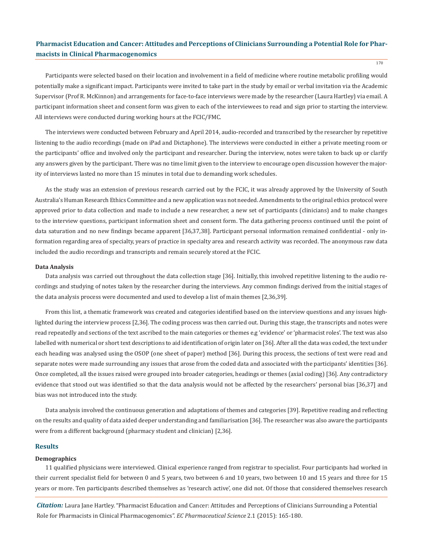Participants were selected based on their location and involvement in a field of medicine where routine metabolic profiling would potentially make a significant impact. Participants were invited to take part in the study by email or verbal invitation via the Academic Supervisor (Prof R. McKinnon) and arrangements for face-to-face interviews were made by the researcher (Laura Hartley) via email. A participant information sheet and consent form was given to each of the interviewees to read and sign prior to starting the interview. All interviews were conducted during working hours at the FCIC/FMC.

The interviews were conducted between February and April 2014, audio-recorded and transcribed by the researcher by repetitive listening to the audio recordings (made on iPad and Dictaphone). The interviews were conducted in either a private meeting room or the participants' office and involved only the participant and researcher. During the interview, notes were taken to back up or clarify any answers given by the participant. There was no time limit given to the interview to encourage open discussion however the majority of interviews lasted no more than 15 minutes in total due to demanding work schedules.

As the study was an extension of previous research carried out by the FCIC, it was already approved by the University of South Australia's Human Research Ethics Committee and a new application was not needed. Amendments to the original ethics protocol were approved prior to data collection and made to include a new researcher, a new set of participants (clinicians) and to make changes to the interview questions, participant information sheet and consent form. The data gathering process continued until the point of data saturation and no new findings became apparent [36,37,38]. Participant personal information remained confidential - only information regarding area of specialty, years of practice in specialty area and research activity was recorded. The anonymous raw data included the audio recordings and transcripts and remain securely stored at the FCIC.

#### **Data Analysis**

Data analysis was carried out throughout the data collection stage [36]. Initially, this involved repetitive listening to the audio recordings and studying of notes taken by the researcher during the interviews. Any common findings derived from the initial stages of the data analysis process were documented and used to develop a list of main themes [2,36,39].

From this list, a thematic framework was created and categories identified based on the interview questions and any issues highlighted during the interview process [2,36]. The coding process was then carried out. During this stage, the transcripts and notes were read repeatedly and sections of the text ascribed to the main categories or themes e.g 'evidence' or 'pharmacist roles'. The text was also labelled with numerical or short text descriptions to aid identification of origin later on [36]. After all the data was coded, the text under each heading was analysed using the OSOP (one sheet of paper) method [36]. During this process, the sections of text were read and separate notes were made surrounding any issues that arose from the coded data and associated with the participants' identities [36]. Once completed, all the issues raised were grouped into broader categories, headings or themes (axial coding) [36]. Any contradictory evidence that stood out was identified so that the data analysis would not be affected by the researchers' personal bias [36,37] and bias was not introduced into the study.

Data analysis involved the continuous generation and adaptations of themes and categories [39]. Repetitive reading and reflecting on the results and quality of data aided deeper understanding and familiarisation [36]. The researcher was also aware the participants were from a different background (pharmacy student and clinician) [2,36].

#### **Results**

### **Demographics**

11 qualified physicians were interviewed. Clinical experience ranged from registrar to specialist. Four participants had worked in their current specialist field for between 0 and 5 years, two between 6 and 10 years, two between 10 and 15 years and three for 15 years or more. Ten participants described themselves as 'research active', one did not. Of those that considered themselves research

*Citation:* Laura Jane Hartley. "Pharmacist Education and Cancer: Attitudes and Perceptions of Clinicians Surrounding a Potential Role for Pharmacists in Clinical Pharmacogenomics". *EC Pharmaceutical Science* 2.1 (2015): 165-180.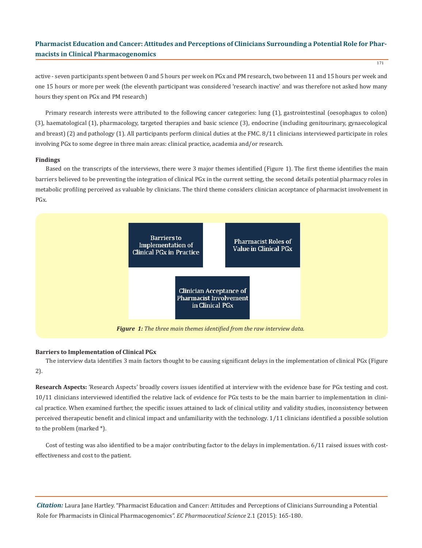active - seven participants spent between 0 and 5 hours per week on PGx and PM research, two between 11 and 15 hours per week and one 15 hours or more per week (the eleventh participant was considered 'research inactive' and was therefore not asked how many hours they spent on PGx and PM research)

Primary research interests were attributed to the following cancer categories: lung (1), gastrointestinal (oesophagus to colon) (3), haematological (1), pharmacology, targeted therapies and basic science (3), endocrine (including genitourinary, gynaecological and breast) (2) and pathology (1). All participants perform clinical duties at the FMC. 8/11 clinicians interviewed participate in roles involving PGx to some degree in three main areas: clinical practice, academia and/or research.

#### **Findings**

Based on the transcripts of the interviews, there were 3 major themes identified (Figure 1). The first theme identifies the main barriers believed to be preventing the integration of clinical PGx in the current setting, the second details potential pharmacy roles in metabolic profiling perceived as valuable by clinicians. The third theme considers clinician acceptance of pharmacist involvement in PGx.



### **Barriers to Implementation of Clinical PGx**

The interview data identifies 3 main factors thought to be causing significant delays in the implementation of clinical PGx (Figure 2).

**Research Aspects:** 'Research Aspects' broadly covers issues identified at interview with the evidence base for PGx testing and cost. 10/11 clinicians interviewed identified the relative lack of evidence for PGx tests to be the main barrier to implementation in clinical practice. When examined further, the specific issues attained to lack of clinical utility and validity studies, inconsistency between perceived therapeutic benefit and clinical impact and unfamiliarity with the technology. 1/11 clinicians identified a possible solution to the problem (marked \*).

Cost of testing was also identified to be a major contributing factor to the delays in implementation. 6/11 raised issues with costeffectiveness and cost to the patient.

*Citation:* Laura Jane Hartley. "Pharmacist Education and Cancer: Attitudes and Perceptions of Clinicians Surrounding a Potential Role for Pharmacists in Clinical Pharmacogenomics". *EC Pharmaceutical Science* 2.1 (2015): 165-180.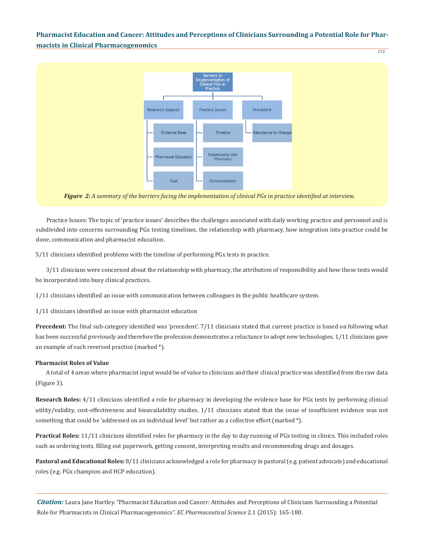172



*Figure 2: A summary of the barriers facing the implementation of clinical PGx in practice identified at interview.*

Practice Issues: The topic of 'practice issues' describes the challenges associated with daily working practice and personnel and is subdivided into concerns surrounding PGx testing timelines, the relationship with pharmacy, how integration into practice could be done, communication and pharmacist education.

5/11 clinicians identified problems with the timeline of performing PGx tests in practice.

3/11 clinicians were concerned about the relationship with pharmacy, the attribution of responsibility and how these tests would be incorporated into busy clinical practices.

1/11 clinicians identified an issue with communication between colleagues in the public healthcare system.

1/11 clinicians identified an issue with pharmacist education

**Precedent:** The final sub-category identified was 'precedent'. 7/11 clinicians stated that current practice is based on following what has been successful previously and therefore the profession demonstrates a reluctance to adopt new technologies. 1/11 clinicians gave an example of such reversed practice (marked \*).

#### **Pharmacist Roles of Value**

A total of 4 areas where pharmacist input would be of value to clinicians and their clinical practice was identified from the raw data (Figure 3).

**Research Roles:** 4/11 clinicians identified a role for pharmacy in developing the evidence base for PGx tests by performing clinical utility/validity, cost-effectiveness and bioavailability studies. 1/11 clinicians stated that the issue of insufficient evidence was not something that could be 'addressed on an individual level' but rather as a collective effort (marked \*).

**Practical Roles:** 11/11 clinicians identified roles for pharmacy in the day to day running of PGx testing in clinics. This included roles such as ordering tests, filling out paperwork, getting consent, interpreting results and recommending drugs and dosages.

**Pastoral and Educational Roles:** 8/11 clinicians acknowledged a role for pharmacy in pastoral (e.g. patient advocate) and educational roles (e.g. PGx champion and HCP education).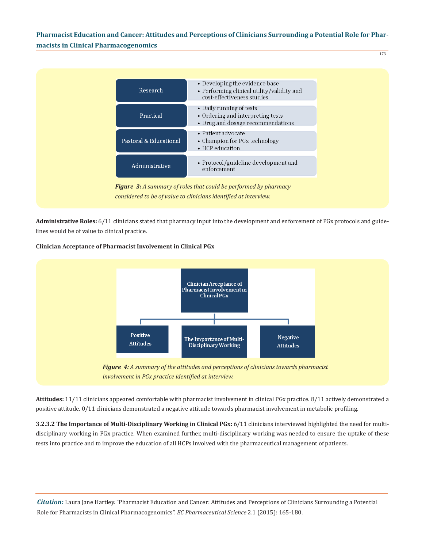173



**Administrative Roles:** 6/11 clinicians stated that pharmacy input into the development and enforcement of PGx protocols and guidelines would be of value to clinical practice.

### **Clinician Acceptance of Pharmacist Involvement in Clinical PGx**



**Attitudes:** 11/11 clinicians appeared comfortable with pharmacist involvement in clinical PGx practice. 8/11 actively demonstrated a positive attitude. 0/11 clinicians demonstrated a negative attitude towards pharmacist involvement in metabolic profiling.

**3.2.3.2 The Importance of Multi-Disciplinary Working in Clinical PGx:** 6/11 clinicians interviewed highlighted the need for multidisciplinary working in PGx practice. When examined further, multi-disciplinary working was needed to ensure the uptake of these tests into practice and to improve the education of all HCPs involved with the pharmaceutical management of patients.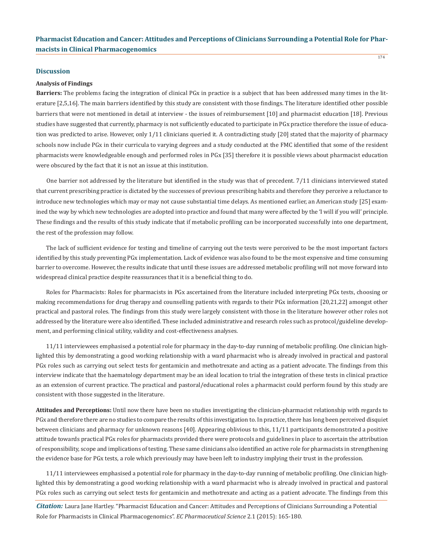#### **Discussion**

#### **Analysis of Findings**

**Barriers:** The problems facing the integration of clinical PGx in practice is a subject that has been addressed many times in the literature [2,5,16]. The main barriers identified by this study are consistent with those findings. The literature identified other possible barriers that were not mentioned in detail at interview - the issues of reimbursement [10] and pharmacist education [18]. Previous studies have suggested that currently, pharmacy is not sufficiently educated to participate in PGx practice therefore the issue of education was predicted to arise. However, only 1/11 clinicians queried it. A contradicting study [20] stated that the majority of pharmacy schools now include PGx in their curricula to varying degrees and a study conducted at the FMC identified that some of the resident pharmacists were knowledgeable enough and performed roles in PGx [35] therefore it is possible views about pharmacist education were obscured by the fact that it is not an issue at this institution.

One barrier not addressed by the literature but identified in the study was that of precedent. 7/11 clinicians interviewed stated that current prescribing practice is dictated by the successes of previous prescribing habits and therefore they perceive a reluctance to introduce new technologies which may or may not cause substantial time delays. As mentioned earlier, an American study [25] examined the way by which new technologies are adopted into practice and found that many were affected by the 'I will if you will' principle. These findings and the results of this study indicate that if metabolic profiling can be incorporated successfully into one department, the rest of the profession may follow.

The lack of sufficient evidence for testing and timeline of carrying out the tests were perceived to be the most important factors identified by this study preventing PGx implementation. Lack of evidence was also found to be the most expensive and time consuming barrier to overcome. However, the results indicate that until these issues are addressed metabolic profiling will not move forward into widespread clinical practice despite reassurances that it is a beneficial thing to do.

Roles for Pharmacists: Roles for pharmacists in PGx ascertained from the literature included interpreting PGx tests, choosing or making recommendations for drug therapy and counselling patients with regards to their PGx information [20,21,22] amongst other practical and pastoral roles. The findings from this study were largely consistent with those in the literature however other roles not addressed by the literature were also identified. These included administrative and research roles such as protocol/guideline development, and performing clinical utility, validity and cost-effectiveness analyses.

11/11 interviewees emphasised a potential role for pharmacy in the day-to-day running of metabolic profiling. One clinician highlighted this by demonstrating a good working relationship with a ward pharmacist who is already involved in practical and pastoral PGx roles such as carrying out select tests for gentamicin and methotrexate and acting as a patient advocate. The findings from this interview indicate that the haematology department may be an ideal location to trial the integration of these tests in clinical practice as an extension of current practice. The practical and pastoral/educational roles a pharmacist could perform found by this study are consistent with those suggested in the literature.

**Attitudes and Perceptions:** Until now there have been no studies investigating the clinician-pharmacist relationship with regards to PGx and therefore there are no studies to compare the results of this investigation to. In practice, there has long been perceived disquiet between clinicians and pharmacy for unknown reasons [40]. Appearing oblivious to this, 11/11 participants demonstrated a positive attitude towards practical PGx roles for pharmacists provided there were protocols and guidelines in place to ascertain the attribution of responsibility, scope and implications of testing. These same clinicians also identified an active role for pharmacists in strengthening the evidence base for PGx tests, a role which previously may have been left to industry implying their trust in the profession.

11/11 interviewees emphasised a potential role for pharmacy in the day-to-day running of metabolic profiling. One clinician highlighted this by demonstrating a good working relationship with a ward pharmacist who is already involved in practical and pastoral PGx roles such as carrying out select tests for gentamicin and methotrexate and acting as a patient advocate. The findings from this

*Citation:* Laura Jane Hartley. "Pharmacist Education and Cancer: Attitudes and Perceptions of Clinicians Surrounding a Potential Role for Pharmacists in Clinical Pharmacogenomics". *EC Pharmaceutical Science* 2.1 (2015): 165-180.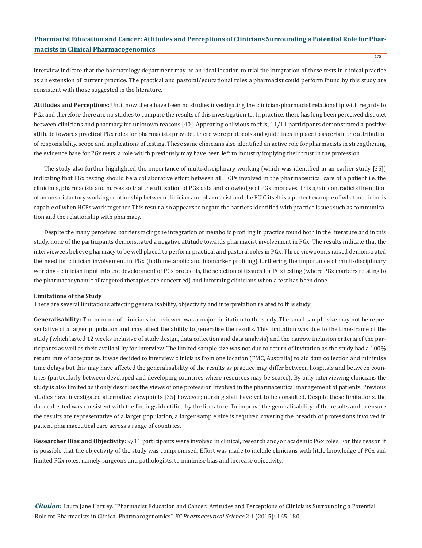interview indicate that the haematology department may be an ideal location to trial the integration of these tests in clinical practice as an extension of current practice. The practical and pastoral/educational roles a pharmacist could perform found by this study are consistent with those suggested in the literature.

**Attitudes and Perceptions:** Until now there have been no studies investigating the clinician-pharmacist relationship with regards to PGx and therefore there are no studies to compare the results of this investigation to. In practice, there has long been perceived disquiet between clinicians and pharmacy for unknown reasons [40]. Appearing oblivious to this, 11/11 participants demonstrated a positive attitude towards practical PGx roles for pharmacists provided there were protocols and guidelines in place to ascertain the attribution of responsibility, scope and implications of testing. These same clinicians also identified an active role for pharmacists in strengthening the evidence base for PGx tests, a role which previously may have been left to industry implying their trust in the profession.

The study also further highlighted the importance of multi-disciplinary working (which was identified in an earlier study [35]) indicating that PGx testing should be a collaborative effort between all HCPs involved in the pharmaceutical care of a patient i.e. the clinicians, pharmacists and nurses so that the utilisation of PGx data and knowledge of PGx improves. This again contradicts the notion of an unsatisfactory working relationship between clinician and pharmacist and the FCIC itself is a perfect example of what medicine is capable of when HCPs work together. This result also appears to negate the barriers identified with practice issues such as communication and the relationship with pharmacy.

Despite the many perceived barriers facing the integration of metabolic profiling in practice found both in the literature and in this study, none of the participants demonstrated a negative attitude towards pharmacist involvement in PGx. The results indicate that the interviewees believe pharmacy to be well placed to perform practical and pastoral roles in PGx. Three viewpoints raised demonstrated the need for clinician involvement in PGx (both metabolic and biomarker profiling) furthering the importance of multi-disciplinary working - clinician input into the development of PGx protocols, the selection of tissues for PGx testing (where PGx markers relating to the pharmacodynamic of targeted therapies are concerned) and informing clinicians when a test has been done.

#### **Limitations of the Study**

There are several limitations affecting generalisability, objectivity and interpretation related to this study

**Generalisability:** The number of clinicians interviewed was a major limitation to the study. The small sample size may not be representative of a larger population and may affect the ability to generalise the results. This limitation was due to the time-frame of the study (which lasted 12 weeks inclusive of study design, data collection and data analysis) and the narrow inclusion criteria of the participants as well as their availability for interview. The limited sample size was not due to return of invitation as the study had a 100% return rate of acceptance. It was decided to interview clinicians from one location (FMC, Australia) to aid data collection and minimise time delays but this may have affected the generalisability of the results as practice may differ between hospitals and between countries (particularly between developed and developing countries where resources may be scarce). By only interviewing clinicians the study is also limited as it only describes the views of one profession involved in the pharmaceutical management of patients. Previous studies have investigated alternative viewpoints [35] however; nursing staff have yet to be consulted. Despite these limitations, the data collected was consistent with the findings identified by the literature. To improve the generalisability of the results and to ensure the results are representative of a larger population, a larger sample size is required covering the breadth of professions involved in patient pharmaceutical care across a range of countries.

**Researcher Bias and Objectivity:** 9/11 participants were involved in clinical, research and/or academic PGx roles. For this reason it is possible that the objectivity of the study was compromised. Effort was made to include clinicians with little knowledge of PGx and limited PGx roles, namely surgeons and pathologists, to minimise bias and increase objectivity.

*Citation:* Laura Jane Hartley. "Pharmacist Education and Cancer: Attitudes and Perceptions of Clinicians Surrounding a Potential Role for Pharmacists in Clinical Pharmacogenomics". *EC Pharmaceutical Science* 2.1 (2015): 165-180.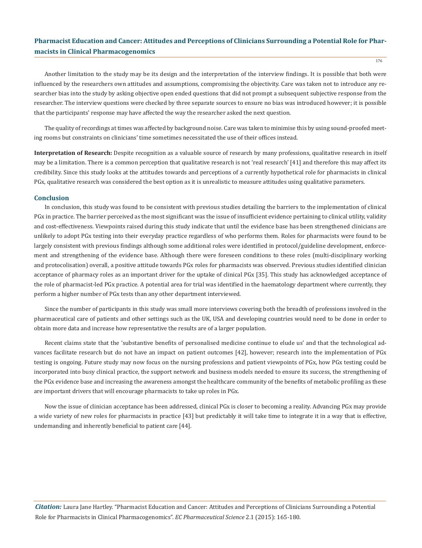176

Another limitation to the study may be its design and the interpretation of the interview findings. It is possible that both were influenced by the researchers own attitudes and assumptions, compromising the objectivity. Care was taken not to introduce any researcher bias into the study by asking objective open ended questions that did not prompt a subsequent subjective response from the researcher. The interview questions were checked by three separate sources to ensure no bias was introduced however; it is possible that the participants' response may have affected the way the researcher asked the next question.

The quality of recordings at times was affected by background noise. Care was taken to minimise this by using sound-proofed meeting rooms but constraints on clinicians' time sometimes necessitated the use of their offices instead.

**Interpretation of Research:** Despite recognition as a valuable source of research by many professions, qualitative research in itself may be a limitation. There is a common perception that qualitative research is not 'real research' [41] and therefore this may affect its credibility. Since this study looks at the attitudes towards and perceptions of a currently hypothetical role for pharmacists in clinical PGx, qualitative research was considered the best option as it is unrealistic to measure attitudes using qualitative parameters.

### **Conclusion**

In conclusion, this study was found to be consistent with previous studies detailing the barriers to the implementation of clinical PGx in practice. The barrier perceived as the most significant was the issue of insufficient evidence pertaining to clinical utility, validity and cost-effectiveness. Viewpoints raised during this study indicate that until the evidence base has been strengthened clinicians are unlikely to adopt PGx testing into their everyday practice regardless of who performs them. Roles for pharmacists were found to be largely consistent with previous findings although some additional roles were identified in protocol/guideline development, enforcement and strengthening of the evidence base. Although there were foreseen conditions to these roles (multi-disciplinary working and protocolisation) overall, a positive attitude towards PGx roles for pharmacists was observed. Previous studies identified clinician acceptance of pharmacy roles as an important driver for the uptake of clinical PGx [35]. This study has acknowledged acceptance of the role of pharmacist-led PGx practice. A potential area for trial was identified in the haematology department where currently, they perform a higher number of PGx tests than any other department interviewed.

Since the number of participants in this study was small more interviews covering both the breadth of professions involved in the pharmaceutical care of patients and other settings such as the UK, USA and developing countries would need to be done in order to obtain more data and increase how representative the results are of a larger population.

Recent claims state that the 'substantive benefits of personalised medicine continue to elude us' and that the technological advances facilitate research but do not have an impact on patient outcomes [42], however; research into the implementation of PGx testing is ongoing. Future study may now focus on the nursing professions and patient viewpoints of PGx, how PGx testing could be incorporated into busy clinical practice, the support network and business models needed to ensure its success, the strengthening of the PGx evidence base and increasing the awareness amongst the healthcare community of the benefits of metabolic profiling as these are important drivers that will encourage pharmacists to take up roles in PGx.

Now the issue of clinician acceptance has been addressed, clinical PGx is closer to becoming a reality. Advancing PGx may provide a wide variety of new roles for pharmacists in practice [43] but predictably it will take time to integrate it in a way that is effective, undemanding and inherently beneficial to patient care [44].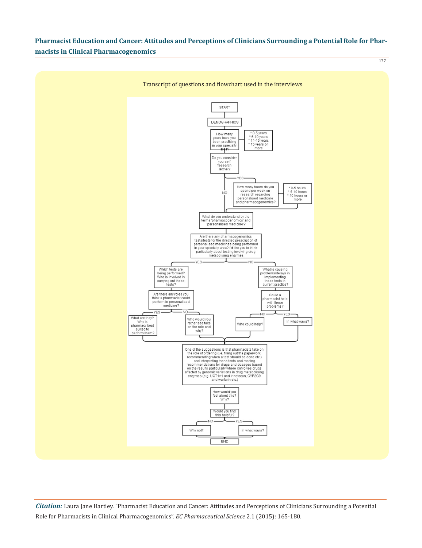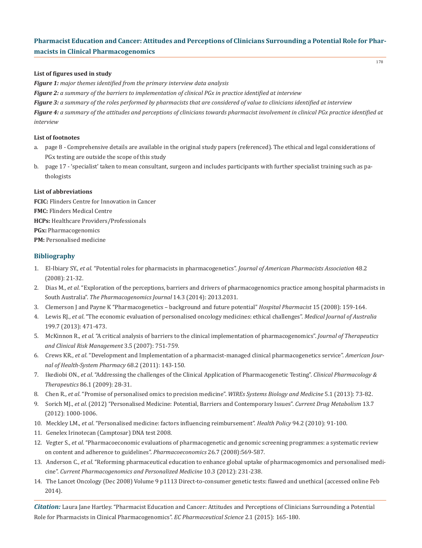### **List of figures used in study**

*Figure 1: major themes identified from the primary interview data analysis*

*Figure 2: a summary of the barriers to implementation of clinical PGx in practice identified at interview*

*Figure 3: a summary of the roles performed by pharmacists that are considered of value to clinicians identified at interview*

*Figure 4: a summary of the attitudes and perceptions of clinicians towards pharmacist involvement in clinical PGx practice identified at interview*

### **List of footnotes**

- a. page 8 Comprehensive details are available in the original study papers (referenced). The ethical and legal considerations of PGx testing are outside the scope of this study
- b. page 17 'specialist' taken to mean consultant, surgeon and includes participants with further specialist training such as pa thologists

### **List of abbreviations**

**FCIC:** Flinders Centre for Innovation in Cancer **FMC:** Flinders Medical Centre **HCPs:** Healthcare Providers/Professionals **PGx:** Pharmacogenomics **PM:** Personalised medicine

### **Bibliography**

- 1. El-Ibiary SY., *et al*. "Potential roles for pharmacists in pharmacogenetics". *Journal of American Pharmacists Association* 48.2 (2008): 21-32.
- 2. Dias M., *et al*. "Exploration of the perceptions, barriers and drivers of pharmacogenomics practice among hospital pharmacists in South Australia". *The Pharmacogenomics Journal* 14.3 (2014): 2013.2031.
- 3. Clemerson J and Payne K "Pharmacogenetics background and future potential" *Hospital Pharmacist* 15 (2008): 159-164.
- 4. Lewis RJ., *et al*. "The economic evaluation of personalised oncology medicines: ethical challenges". *Medical Journal of Australia*  199.7 (2013): 471-473.
- 5. McKinnon R., *et al.* "A critical analysis of barriers to the clinical implementation of pharmacogenomics". *Journal of Therapeutics and Clinical Risk Management* 3.5 (2007): 751-759.
- 6. Crews KR., *et al*. "Development and Implementation of a pharmacist-managed clinical pharmacogenetics service". *American Jour nal of Health-System Pharmacy* 68.2 (2011): 143-150.
- 7. Ikediobi ON., *et al*. "Addressing the challenges of the Clinical Application of Pharmacogenetic Testing". *Clinical Pharmacology & Therapeutics* 86.1 (2009): 28-31.
- 8. Chen R., *et al*. "Promise of personalised omics to precision medicine". *WIREs Systems Biology and Medicine* 5.1 (2013): 73-82.
- 9. Sorich MJ., *et al*. (2012) "Personalised Medicine: Potential, Barriers and Contemporary Issues". *Current Drug Metabolism* 13.7 (2012): 1000-1006.
- 10. Meckley LM., *et al*. "Personalised medicine: factors influencing reimbursement". *Health Policy* 94.2 (2010): 91-100.
- 11. Genelex Irinotecan (Camptosar) DNA test 2008.
- 12. Vegter S., *et al*. "Pharmacoeconomic evaluations of pharmacogenetic and genomic screening programmes: a systematic review on content and adherence to guidelines". *Pharmacoeconomics* 26.7 (2008):569-587.
- 13. Anderson C., *et al*. "Reforming pharmaceutical education to enhance global uptake of pharmacogenomics and personalised medi cine". *Current Pharmacogenomics and Personalized Medicine* 10.3 (2012): 231-238.
- 14. The Lancet Oncology (Dec 2008) Volume 9 p1113 Direct-to-consumer genetic tests: flawed and unethical (accessed online Feb 2014).

*Citation:* Laura Jane Hartley. "Pharmacist Education and Cancer: Attitudes and Perceptions of Clinicians Surrounding a Potential Role for Pharmacists in Clinical Pharmacogenomics". *EC Pharmaceutical Science* 2.1 (2015): 165-180.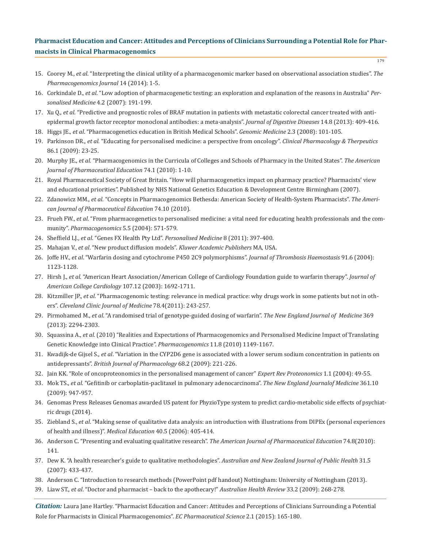- 15. Coorey M., *et al*. "Interpreting the clinical utility of a pharmacogenomic marker based on observational association studies". *The Pharmacogenomics Journal* 14 (2014): 1-5.
- 16. Corkindale D., *et al*. "Low adoption of pharmacogenetic testing: an exploration and explanation of the reasons in Australia" *Per sonalised Medicine* 4.2 (2007): 191-199.
- 17. Xu Q., *et al*. "Predictive and prognostic roles of BRAF mutation in patients with metastatic colorectal cancer treated with anti epidermal growth factor receptor monoclonal antibodies: a meta-analysis". *Journal of Digestive Diseases* 14.8 (2013): 409-416.
- 18. Higgs JE., *et al*. "Pharmacogenetics education in British Medical Schools". *Genomic Medicine* 2.3 (2008): 101-105.
- 19. Parkinson DR., *et al*. "Educating for personalised medicine: a perspective from oncology". *Clinical Pharmacology & Therpeutics* 86.1 (2009): 23-25.
- 20. Murphy JE., *et al.* "Pharmacogenomics in the Curricula of Colleges and Schools of Pharmacy in the United States". *The American Journal of Pharmaceutical Education* 74.1 (2010): 1-10.
- 21. Royal Pharmaceutical Society of Great Britain. "How will pharmacogenetics impact on pharmacy practice? Pharmacists' view and educational priorities". Published by NHS National Genetics Education & Development Centre Birmingham (2007).
- 22. Zdanowicz MM., *et al*. "Concepts in Pharmacogenomics Bethesda: American Society of Health-System Pharmacists". *The Ameri can Journal of Pharmaceutical Education* 74.10 (2010).
- 23. Frueh FW., *et al*. "From pharmacogenetics to personalised medicine: a vital need for educating health professionals and the com munity". *Pharmacogenomics* 5.5 (2004): 571-579.
- 24. Sheffield LJ., *et al*. "Genes FX Health Pty Ltd". *Personalised Medicine* 8 (2011): 397-400.
- 25. Mahajan V., *et al*. "New product diffusion models". *Kluwer Academic Publishers* MA, USA.
- 26. Joffe HV., *et al*. "Warfarin dosing and cytochrome P450 2C9 polymorphisms". *Journal of Thrombosis Haemostasis* 91.6 (2004): 1123-1128.
- 27. Hirsh J., *et al.* "American Heart Association/American College of Cardiology Foundation guide to warfarin therapy". *Journal of American College Cardiology* 107.12 (2003): 1692-1711.
- 28. Kitzmiller JP., *et al*. "Pharmacogenomic testing: relevance in medical practice: why drugs work in some patients but not in oth ers". *Cleveland Clinic Journal of Medicine* 78.4(2011): 243-257.
- 29. Pirmohamed M., *et al*. "A randomised trial of genotype-guided dosing of warfarin". *The New England Journal of Medicine* 369 (2013): 2294-2303.
- 30. Squassina A., *et al.* (2010) "Realities and Expectations of Pharmacogenomics and Personalised Medicine Impact of Translating Genetic Knowledge into Clinical Practice". *Pharmacogenomics* 11.8 (2010) 1149-1167.
- 31. Kwadijk-de Gijsel S., *et al*. "Variation in the CYP2D6 gene is associated with a lower serum sodium concentration in patients on antidepressants". *British Journal of Pharmacology* 68.2 (2009): 221-226.
- 32. Jain KK. "Role of oncoproteonomics in the personalised management of cancer" *Expert Rev Proteonomics* 1.1 (2004): 49-55.
- 33. Mok TS., *et al*. "Gefitinib or carboplatin-paclitaxel in pulmonary adenocarcinoma". *The New England Journalof Medicine* 361.10 (2009): 947-957.
- 34. Genomas Press Releases Genomas awarded US patent for PhyzioType system to predict cardio-metabolic side effects of psychiat ric drugs (2014).
- 35. Ziebland S., *et al*. "Making sense of qualitative data analysis: an introduction with illustrations from DIPEx (personal experiences of health and illness)". *Medical Education* 40.5 (2006): 405-414.
- 36. Anderson C. "Presenting and evaluating qualitative research". *The American Journal of Pharmaceutical Education* 74.8(2010): 141.
- 37. Dew K. "A health researcher's guide to qualitative methodologies". *Australian and New Zealand Journal of Public Health* 31.5 (2007): 433-437.
- 38. Anderson C. "Introduction to research methods (PowerPoint pdf handout) Nottingham: University of Nottingham (2013).
- 39. Liaw ST., *et al*. "Doctor and pharmacist back to the apothecary!" *Australian Health Review* 33.2 (2009): 268-278.